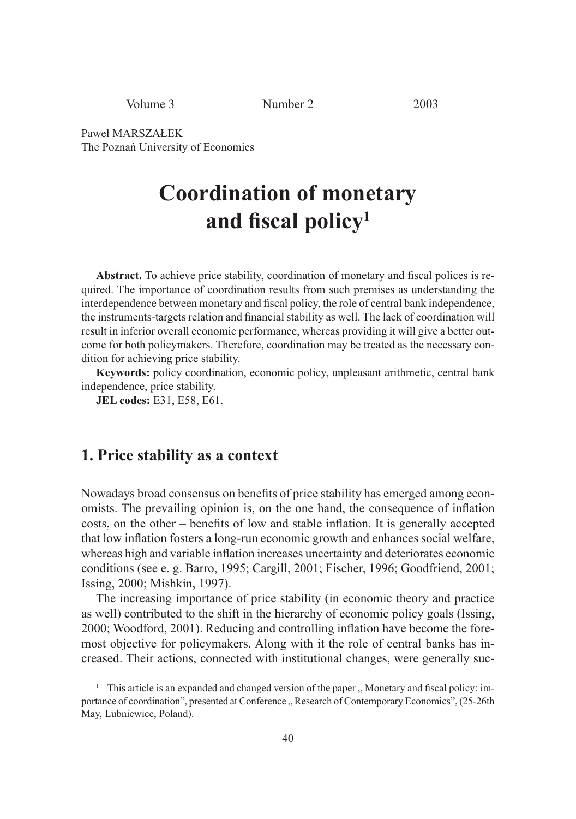| Volume 3 | Number 2 | 2003 |
|----------|----------|------|
|----------|----------|------|

Paweł MARSZAŁEK The Poznań University of Economics

# **Coordination of monetary**  and fiscal policy<sup>1</sup>

Abstract. To achieve price stability, coordination of monetary and fiscal polices is required. The importance of coordination results from such premises as understanding the interdependence between monetary and fiscal policy, the role of central bank independence, the instruments-targets relation and financial stability as well. The lack of coordination will result in inferior overall economic performance, whereas providing it will give a better outcome for both policymakers. Therefore, coordination may be treated as the necessary condition for achieving price stability.

**Keywords:** policy coordination, economic policy, unpleasant arithmetic, central bank independence, price stability.

**JEL codes:** E31, E58, E61.

### **1. Price stability as a context**

Nowadays broad consensus on benefits of price stability has emerged among economists. The prevailing opinion is, on the one hand, the consequence of inflation costs, on the other – benefits of low and stable inflation. It is generally accepted that low infl ation fosters a long-run economic growth and enhances social welfare, whereas high and variable inflation increases uncertainty and deteriorates economic conditions (see e. g. Barro, 1995; Cargill, 2001; Fischer, 1996; Goodfriend, 2001; Issing, 2000; Mishkin, 1997).

The increasing importance of price stability (in economic theory and practice as well) contributed to the shift in the hierarchy of economic policy goals (Issing, 2000; Woodford, 2001). Reducing and controlling inflation have become the foremost objective for policymakers. Along with it the role of central banks has increased. Their actions, connected with institutional changes, were generally suc-

<sup>&</sup>lt;sup>1</sup> This article is an expanded and changed version of the paper " Monetary and fiscal policy: importance of coordination", presented at Conference " Research of Contemporary Economics",  $(25-26th)$ May, Lubniewice, Poland).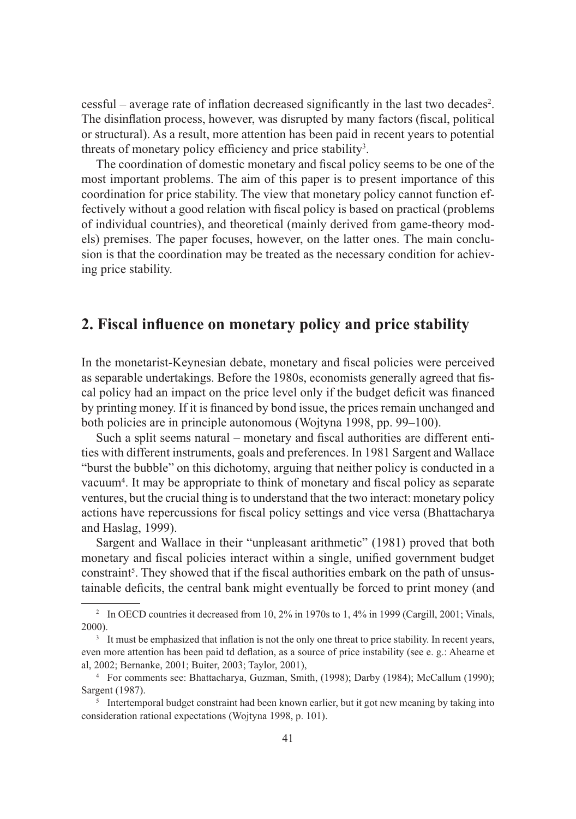cessful – average rate of inflation decreased significantly in the last two decades<sup>2</sup>. The disinflation process, however, was disrupted by many factors (fiscal, political or structural). As a result, more attention has been paid in recent years to potential threats of monetary policy efficiency and price stability<sup>3</sup>.

The coordination of domestic monetary and fiscal policy seems to be one of the most important problems. The aim of this paper is to present importance of this coordination for price stability. The view that monetary policy cannot function effectively without a good relation with fiscal policy is based on practical (problems of individual countries), and theoretical (mainly derived from game-theory models) premises. The paper focuses, however, on the latter ones. The main conclusion is that the coordination may be treated as the necessary condition for achieving price stability.

### 2. Fiscal influence on monetary policy and price stability

In the monetarist-Keynesian debate, monetary and fiscal policies were perceived as separable undertakings. Before the 1980s, economists generally agreed that fiscal policy had an impact on the price level only if the budget deficit was financed by printing money. If it is financed by bond issue, the prices remain unchanged and both policies are in principle autonomous (Wojtyna 1998, pp. 99–100).

Such a split seems natural – monetary and fiscal authorities are different entities with different instruments, goals and preferences. In 1981 Sargent and Wallace "burst the bubble" on this dichotomy, arguing that neither policy is conducted in a vacuum<sup>4</sup>. It may be appropriate to think of monetary and fiscal policy as separate ventures, but the crucial thing is to understand that the two interact: monetary policy actions have repercussions for fiscal policy settings and vice versa (Bhattacharya and Haslag, 1999).

Sargent and Wallace in their "unpleasant arithmetic" (1981) proved that both monetary and fiscal policies interact within a single, unified government budget constraint<sup>5</sup>. They showed that if the fiscal authorities embark on the path of unsustainable deficits, the central bank might eventually be forced to print money (and

<sup>&</sup>lt;sup>2</sup> In OECD countries it decreased from 10, 2% in 1970s to 1, 4% in 1999 (Cargill, 2001; Vinals, 2000).

<sup>&</sup>lt;sup>3</sup> It must be emphasized that inflation is not the only one threat to price stability. In recent years, even more attention has been paid td deflation, as a source of price instability (see e. g.: Ahearne et al, 2002; Bernanke, 2001; Buiter, 2003; Taylor, 2001),

<sup>4</sup> For comments see: Bhattacharya, Guzman, Smith, (1998); Darby (1984); McCallum (1990); Sargent (1987).

<sup>&</sup>lt;sup>5</sup> Intertemporal budget constraint had been known earlier, but it got new meaning by taking into consideration rational expectations (Wojtyna 1998, p. 101).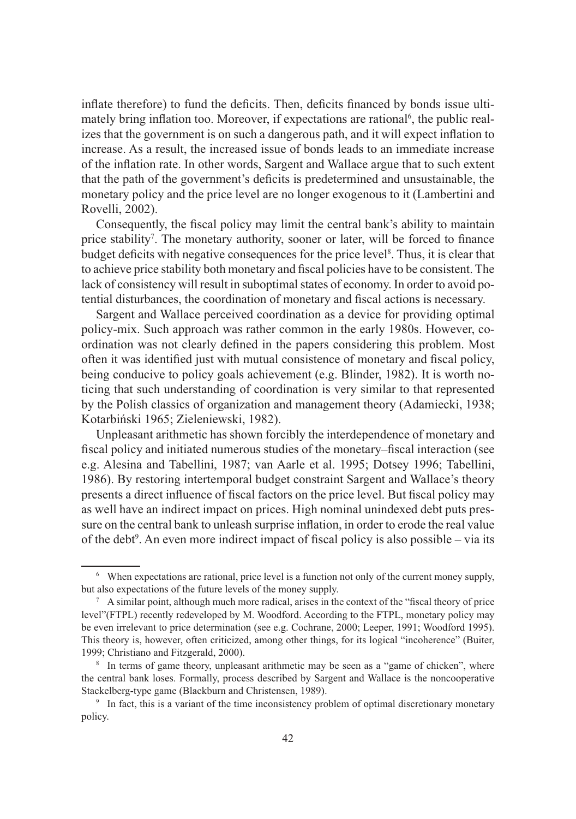inflate therefore) to fund the deficits. Then, deficits financed by bonds issue ultimately bring inflation too. Moreover, if expectations are rational<sup>6</sup>, the public realizes that the government is on such a dangerous path, and it will expect inflation to increase. As a result, the increased issue of bonds leads to an immediate increase of the inflation rate. In other words, Sargent and Wallace argue that to such extent that the path of the government's deficits is predetermined and unsustainable, the monetary policy and the price level are no longer exogenous to it (Lambertini and Rovelli, 2002).

Consequently, the fiscal policy may limit the central bank's ability to maintain price stability<sup>7</sup>. The monetary authority, sooner or later, will be forced to finance budget deficits with negative consequences for the price level<sup>8</sup>. Thus, it is clear that to achieve price stability both monetary and fiscal policies have to be consistent. The lack of consistency will result in suboptimal states of economy. In order to avoid potential disturbances, the coordination of monetary and fiscal actions is necessary.

Sargent and Wallace perceived coordination as a device for providing optimal policy-mix. Such approach was rather common in the early 1980s. However, coordination was not clearly defined in the papers considering this problem. Most often it was identified just with mutual consistence of monetary and fiscal policy, being conducive to policy goals achievement (e.g. Blinder, 1982). It is worth noticing that such understanding of coordination is very similar to that represented by the Polish classics of organization and management theory (Adamiecki, 1938; Kotarbiński 1965; Zieleniewski, 1982).

Unpleasant arithmetic has shown forcibly the interdependence of monetary and fiscal policy and initiated numerous studies of the monetary–fiscal interaction (see e.g. Alesina and Tabellini, 1987; van Aarle et al. 1995; Dotsey 1996; Tabellini, 1986). By restoring intertemporal budget constraint Sargent and Wallace's theory presents a direct influence of fiscal factors on the price level. But fiscal policy may as well have an indirect impact on prices. High nominal unindexed debt puts pressure on the central bank to unleash surprise inflation, in order to erode the real value of the debt<sup>9</sup>. An even more indirect impact of fiscal policy is also possible  $-$  via its

<sup>6</sup> When expectations are rational, price level is a function not only of the current money supply, but also expectations of the future levels of the money supply.

 $\alpha$  A similar point, although much more radical, arises in the context of the "fiscal theory of price" level"(FTPL) recently redeveloped by M. Woodford. According to the FTPL, monetary policy may be even irrelevant to price determination (see e.g. Cochrane, 2000; Leeper, 1991; Woodford 1995). This theory is, however, often criticized, among other things, for its logical "incoherence" (Buiter, 1999; Christiano and Fitzgerald, 2000).

<sup>&</sup>lt;sup>8</sup> In terms of game theory, unpleasant arithmetic may be seen as a "game of chicken", where the central bank loses. Formally, process described by Sargent and Wallace is the noncooperative Stackelberg-type game (Blackburn and Christensen, 1989).

<sup>9</sup> In fact, this is a variant of the time inconsistency problem of optimal discretionary monetary policy.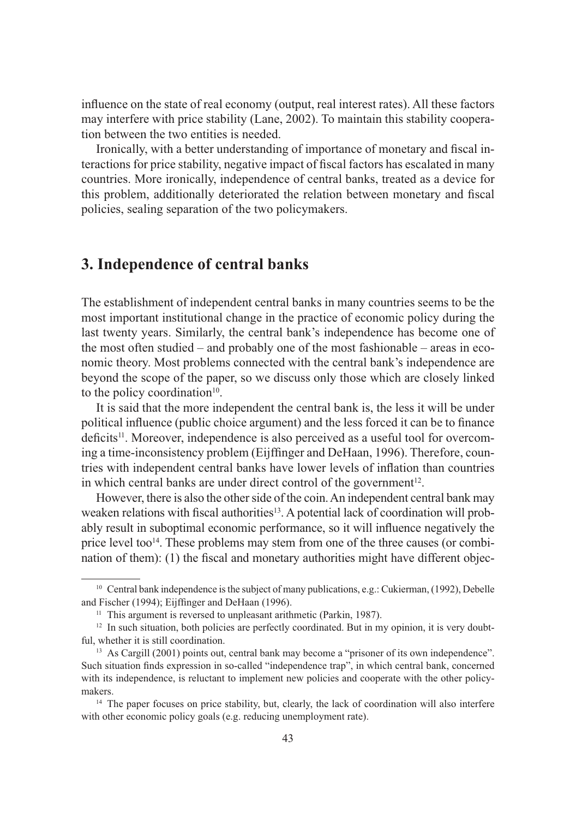influence on the state of real economy (output, real interest rates). All these factors may interfere with price stability (Lane, 2002). To maintain this stability cooperation between the two entities is needed.

Ironically, with a better understanding of importance of monetary and fiscal interactions for price stability, negative impact of fiscal factors has escalated in many countries. More ironically, independence of central banks, treated as a device for this problem, additionally deteriorated the relation between monetary and fiscal policies, sealing separation of the two policymakers.

### **3. Independence of central banks**

The establishment of independent central banks in many countries seems to be the most important institutional change in the practice of economic policy during the last twenty years. Similarly, the central bank's independence has become one of the most often studied – and probably one of the most fashionable – areas in economic theory. Most problems connected with the central bank's independence are beyond the scope of the paper, so we discuss only those which are closely linked to the policy coordination $10$ .

It is said that the more independent the central bank is, the less it will be under political influence (public choice argument) and the less forced it can be to finance deficits<sup>11</sup>. Moreover, independence is also perceived as a useful tool for overcoming a time-inconsistency problem (Eijffinger and DeHaan, 1996). Therefore, countries with independent central banks have lower levels of inflation than countries in which central banks are under direct control of the government<sup>12</sup>.

However, there is also the other side of the coin. An independent central bank may weaken relations with fiscal authorities<sup>13</sup>. A potential lack of coordination will probably result in suboptimal economic performance, so it will influence negatively the price level too $14$ . These problems may stem from one of the three causes (or combination of them):  $(1)$  the fiscal and monetary authorities might have different objec-

<sup>&</sup>lt;sup>10</sup> Central bank independence is the subject of many publications, e.g.: Cukierman, (1992), Debelle and Fischer (1994); Eijffinger and DeHaan (1996).

<sup>&</sup>lt;sup>11</sup> This argument is reversed to unpleasant arithmetic (Parkin, 1987).

 $12$  In such situation, both policies are perfectly coordinated. But in my opinion, it is very doubtful, whether it is still coordination.

<sup>&</sup>lt;sup>13</sup> As Cargill (2001) points out, central bank may become a "prisoner of its own independence". Such situation finds expression in so-called "independence trap", in which central bank, concerned with its independence, is reluctant to implement new policies and cooperate with the other policymakers. 14 The paper focuses on price stability, but, clearly, the lack of coordination will also interfere

with other economic policy goals (e.g. reducing unemployment rate).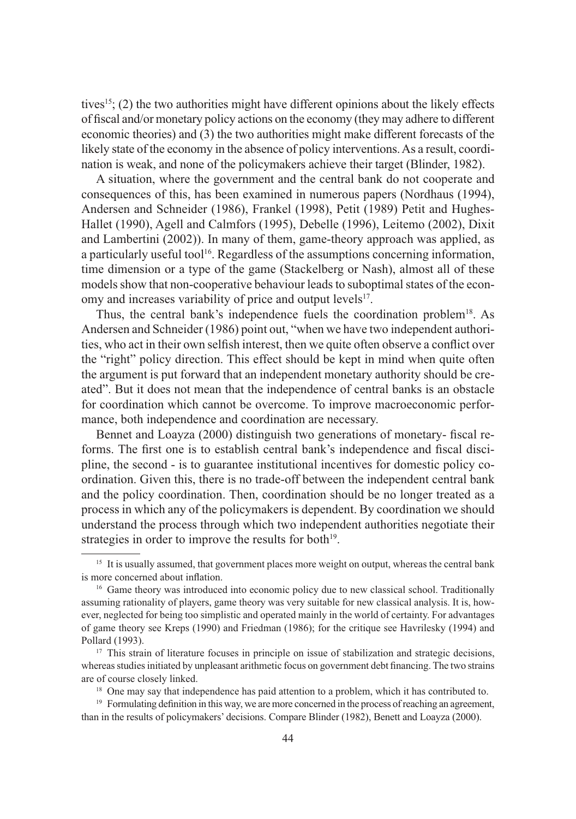tives<sup>15</sup>; (2) the two authorities might have different opinions about the likely effects of fiscal and/or monetary policy actions on the economy (they may adhere to different economic theories) and (3) the two authorities might make different forecasts of the likely state of the economy in the absence of policy interventions. As a result, coordination is weak, and none of the policymakers achieve their target (Blinder, 1982).

A situation, where the government and the central bank do not cooperate and consequences of this, has been examined in numerous papers (Nordhaus (1994), Andersen and Schneider (1986), Frankel (1998), Petit (1989) Petit and Hughes-Hallet (1990), Agell and Calmfors (1995), Debelle (1996), Leitemo (2002), Dixit and Lambertini (2002)). In many of them, game-theory approach was applied, as a particularly useful tool<sup>16</sup>. Regardless of the assumptions concerning information, time dimension or a type of the game (Stackelberg or Nash), almost all of these models show that non-cooperative behaviour leads to suboptimal states of the economy and increases variability of price and output levels<sup>17</sup>.

Thus, the central bank's independence fuels the coordination problem<sup>18</sup>. As Andersen and Schneider (1986) point out, "when we have two independent authorities, who act in their own selfish interest, then we quite often observe a conflict over the "right" policy direction. This effect should be kept in mind when quite often the argument is put forward that an independent monetary authority should be created". But it does not mean that the independence of central banks is an obstacle for coordination which cannot be overcome. To improve macroeconomic performance, both independence and coordination are necessary.

Bennet and Loayza (2000) distinguish two generations of monetary- fiscal reforms. The first one is to establish central bank's independence and fiscal discipline, the second - is to guarantee institutional incentives for domestic policy coordination. Given this, there is no trade-off between the independent central bank and the policy coordination. Then, coordination should be no longer treated as a process in which any of the policymakers is dependent. By coordination we should understand the process through which two independent authorities negotiate their strategies in order to improve the results for both $19$ .

<sup>&</sup>lt;sup>15</sup> It is usually assumed, that government places more weight on output, whereas the central bank is more concerned about inflation.

<sup>&</sup>lt;sup>16</sup> Game theory was introduced into economic policy due to new classical school. Traditionally assuming rationality of players, game theory was very suitable for new classical analysis. It is, however, neglected for being too simplistic and operated mainly in the world of certainty. For advantages of game theory see Kreps (1990) and Friedman (1986); for the critique see Havrilesky (1994) and Pollard (1993).

<sup>&</sup>lt;sup>17</sup> This strain of literature focuses in principle on issue of stabilization and strategic decisions, whereas studies initiated by unpleasant arithmetic focus on government debt financing. The two strains are of course closely linked.

<sup>&</sup>lt;sup>18</sup> One may say that independence has paid attention to a problem, which it has contributed to.

 $19$  Formulating definition in this way, we are more concerned in the process of reaching an agreement, than in the results of policymakers' decisions. Compare Blinder (1982), Benett and Loayza (2000).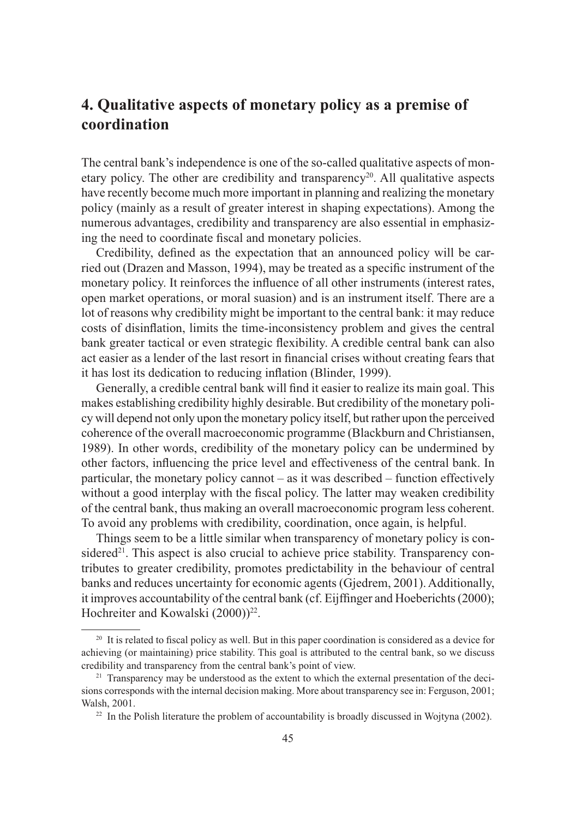## **4. Qualitative aspects of monetary policy as a premise of coordination**

The central bank's independence is one of the so-called qualitative aspects of monetary policy. The other are credibility and transparency<sup>20</sup>. All qualitative aspects have recently become much more important in planning and realizing the monetary policy (mainly as a result of greater interest in shaping expectations). Among the numerous advantages, credibility and transparency are also essential in emphasizing the need to coordinate fiscal and monetary policies.

Credibility, defined as the expectation that an announced policy will be carried out (Drazen and Masson, 1994), may be treated as a specific instrument of the monetary policy. It reinforces the influence of all other instruments (interest rates, open market operations, or moral suasion) and is an instrument itself. There are a lot of reasons why credibility might be important to the central bank: it may reduce costs of disinflation, limits the time-inconsistency problem and gives the central bank greater tactical or even strategic flexibility. A credible central bank can also act easier as a lender of the last resort in financial crises without creating fears that it has lost its dedication to reducing inflation (Blinder, 1999).

Generally, a credible central bank will find it easier to realize its main goal. This makes establishing credibility highly desirable. But credibility of the monetary policy will depend not only upon the monetary policy itself, but rather upon the perceived coherence of the overall macroeconomic programme (Blackburn and Christiansen, 1989). In other words, credibility of the monetary policy can be undermined by other factors, influencing the price level and effectiveness of the central bank. In particular, the monetary policy cannot – as it was described – function effectively without a good interplay with the fiscal policy. The latter may weaken credibility of the central bank, thus making an overall macroeconomic program less coherent. To avoid any problems with credibility, coordination, once again, is helpful.

Things seem to be a little similar when transparency of monetary policy is considered<sup>21</sup>. This aspect is also crucial to achieve price stability. Transparency contributes to greater credibility, promotes predictability in the behaviour of central banks and reduces uncertainty for economic agents (Gjedrem, 2001). Additionally, it improves accountability of the central bank (cf. Eijffinger and Hoeberichts (2000); Hochreiter and Kowalski (2000))<sup>22</sup>.

 $20$  It is related to fiscal policy as well. But in this paper coordination is considered as a device for achieving (or maintaining) price stability. This goal is attributed to the central bank, so we discuss credibility and transparency from the central bank's point of view.

 $2<sup>1</sup>$  Transparency may be understood as the extent to which the external presentation of the decisions corresponds with the internal decision making. More about transparency see in: Ferguson, 2001; Walsh, 2001.

 $^{22}$  In the Polish literature the problem of accountability is broadly discussed in Wojtyna (2002).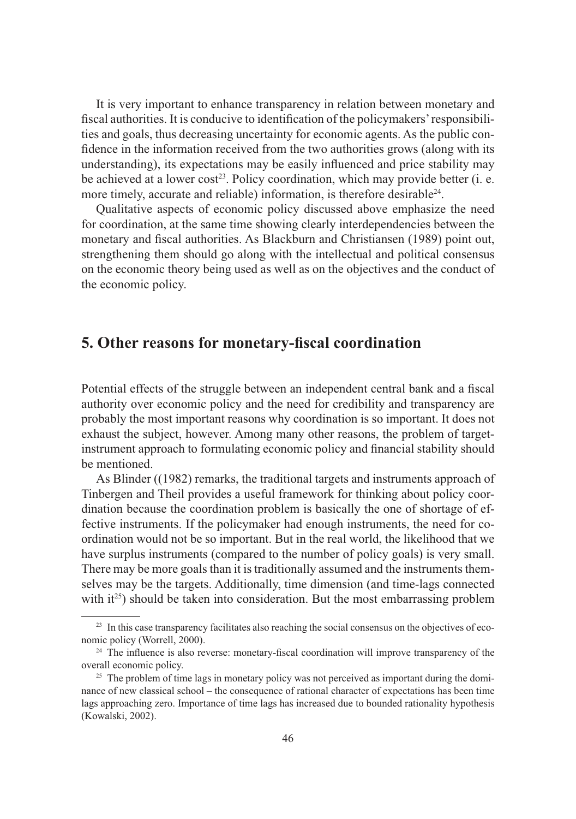It is very important to enhance transparency in relation between monetary and fiscal authorities. It is conducive to identification of the policymakers' responsibilities and goals, thus decreasing uncertainty for economic agents. As the public confidence in the information received from the two authorities grows (along with its understanding), its expectations may be easily influenced and price stability may be achieved at a lower cost<sup>23</sup>. Policy coordination, which may provide better (i. e. more timely, accurate and reliable) information, is therefore desirable<sup>24</sup>.

Qualitative aspects of economic policy discussed above emphasize the need for coordination, at the same time showing clearly interdependencies between the monetary and fiscal authorities. As Blackburn and Christiansen (1989) point out, strengthening them should go along with the intellectual and political consensus on the economic theory being used as well as on the objectives and the conduct of the economic policy.

### **5. Other reasons for monetary-fi scal coordination**

Potential effects of the struggle between an independent central bank and a fiscal authority over economic policy and the need for credibility and transparency are probably the most important reasons why coordination is so important. It does not exhaust the subject, however. Among many other reasons, the problem of targetinstrument approach to formulating economic policy and financial stability should be mentioned.

As Blinder ((1982) remarks, the traditional targets and instruments approach of Tinbergen and Theil provides a useful framework for thinking about policy coordination because the coordination problem is basically the one of shortage of effective instruments. If the policymaker had enough instruments, the need for coordination would not be so important. But in the real world, the likelihood that we have surplus instruments (compared to the number of policy goals) is very small. There may be more goals than it is traditionally assumed and the instruments themselves may be the targets. Additionally, time dimension (and time-lags connected with  $it^{25}$ ) should be taken into consideration. But the most embarrassing problem

<sup>&</sup>lt;sup>23</sup> In this case transparency facilitates also reaching the social consensus on the objectives of economic policy (Worrell, 2000).<br><sup>24</sup> The influence is also reverse: monetary-fiscal coordination will improve transparency of the

overall economic policy.

<sup>&</sup>lt;sup>25</sup> The problem of time lags in monetary policy was not perceived as important during the dominance of new classical school – the consequence of rational character of expectations has been time lags approaching zero. Importance of time lags has increased due to bounded rationality hypothesis (Kowalski, 2002).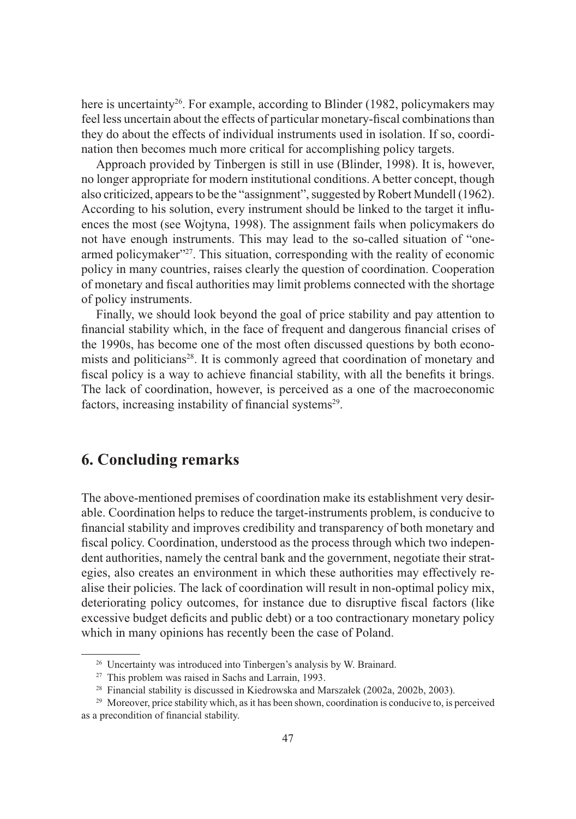here is uncertainty<sup>26</sup>. For example, according to Blinder (1982, policymakers may feel less uncertain about the effects of particular monetary-fiscal combinations than they do about the effects of individual instruments used in isolation. If so, coordination then becomes much more critical for accomplishing policy targets.

Approach provided by Tinbergen is still in use (Blinder, 1998). It is, however, no longer appropriate for modern institutional conditions. A better concept, though also criticized, appears to be the "assignment", suggested by Robert Mundell (1962). According to his solution, every instrument should be linked to the target it influences the most (see Wojtyna, 1998). The assignment fails when policymakers do not have enough instruments. This may lead to the so-called situation of "onearmed policymaker"27. This situation, corresponding with the reality of economic policy in many countries, raises clearly the question of coordination. Cooperation of monetary and fiscal authorities may limit problems connected with the shortage of policy instruments.

Finally, we should look beyond the goal of price stability and pay attention to financial stability which, in the face of frequent and dangerous financial crises of the 1990s, has become one of the most often discussed questions by both economists and politicians<sup>28</sup>. It is commonly agreed that coordination of monetary and fiscal policy is a way to achieve financial stability, with all the benefits it brings. The lack of coordination, however, is perceived as a one of the macroeconomic factors, increasing instability of financial systems<sup>29</sup>.

### **6. Concluding remarks**

The above-mentioned premises of coordination make its establishment very desirable. Coordination helps to reduce the target-instruments problem, is conducive to financial stability and improves credibility and transparency of both monetary and fiscal policy. Coordination, understood as the process through which two independent authorities, namely the central bank and the government, negotiate their strategies, also creates an environment in which these authorities may effectively realise their policies. The lack of coordination will result in non-optimal policy mix, deteriorating policy outcomes, for instance due to disruptive fiscal factors (like excessive budget deficits and public debt) or a too contractionary monetary policy which in many opinions has recently been the case of Poland.

<sup>&</sup>lt;sup>26</sup> Uncertainty was introduced into Tinbergen's analysis by W. Brainard.

<sup>27</sup> This problem was raised in Sachs and Larrain, 1993.

<sup>28</sup> Financial stability is discussed in Kiedrowska and Marszałek (2002a, 2002b, 2003).

<sup>&</sup>lt;sup>29</sup> Moreover, price stability which, as it has been shown, coordination is conducive to, is perceived as a precondition of financial stability.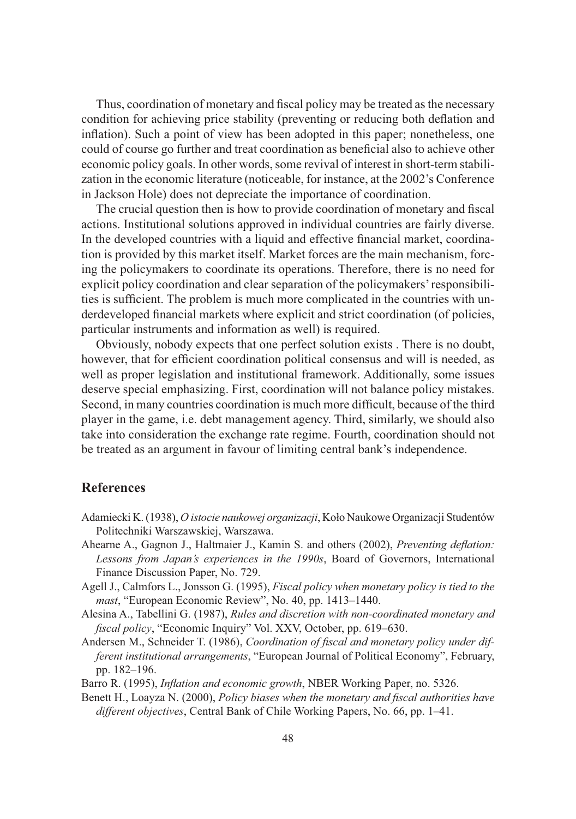Thus, coordination of monetary and fiscal policy may be treated as the necessary condition for achieving price stability (preventing or reducing both deflation and inflation). Such a point of view has been adopted in this paper; nonetheless, one could of course go further and treat coordination as beneficial also to achieve other economic policy goals. In other words, some revival of interest in short-term stabilization in the economic literature (noticeable, for instance, at the 2002's Conference in Jackson Hole) does not depreciate the importance of coordination.

The crucial question then is how to provide coordination of monetary and fiscal actions. Institutional solutions approved in individual countries are fairly diverse. In the developed countries with a liquid and effective financial market, coordination is provided by this market itself. Market forces are the main mechanism, forcing the policymakers to coordinate its operations. Therefore, there is no need for explicit policy coordination and clear separation of the policymakers' responsibilities is sufficient. The problem is much more complicated in the countries with underdeveloped financial markets where explicit and strict coordination (of policies, particular instruments and information as well) is required.

Obviously, nobody expects that one perfect solution exists . There is no doubt, however, that for efficient coordination political consensus and will is needed, as well as proper legislation and institutional framework. Additionally, some issues deserve special emphasizing. First, coordination will not balance policy mistakes. Second, in many countries coordination is much more difficult, because of the third player in the game, i.e. debt management agency. Third, similarly, we should also take into consideration the exchange rate regime. Fourth, coordination should not be treated as an argument in favour of limiting central bank's independence.

#### **References**

- Adamiecki K. (1938), *O istocie naukowej organizacji*, Koło Naukowe Organizacji Studentów Politechniki Warszawskiej, Warszawa.
- Ahearne A., Gagnon J., Haltmaier J., Kamin S. and others (2002), *Preventing deflation: Lessons from Japan's experiences in the 1990s*, Board of Governors, International Finance Discussion Paper, No. 729.
- Agell J., Calmfors L., Jonsson G. (1995), *Fiscal policy when monetary policy is tied to the mast*, "European Economic Review", No. 40, pp. 1413–1440.
- Alesina A., Tabellini G. (1987), *Rules and discretion with non-coordinated monetary and fi scal policy*, "Economic Inquiry" Vol. XXV, October, pp. 619–630.
- Andersen M., Schneider T. (1986), *Coordination of fiscal and monetary policy under different institutional arrangements*, "European Journal of Political Economy", February, pp. 182–196.

Barro R. (1995), *Inflation and economic growth*, NBER Working Paper, no. 5326.

Benett H., Loayza N. (2000), *Policy biases when the monetary and fiscal authorities have different objectives*, Central Bank of Chile Working Papers, No. 66, pp. 1–41.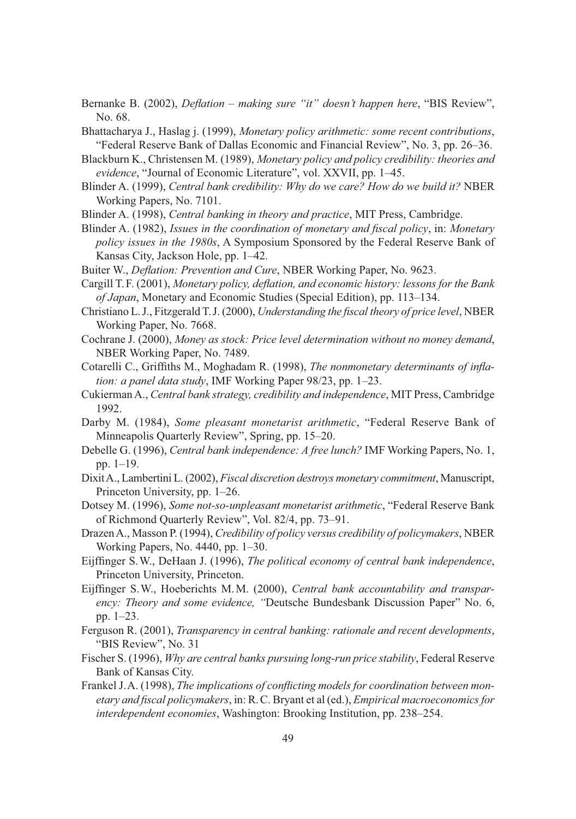- Bernanke B. (2002), *Deflation making sure "it" doesn't happen here*, "BIS Review", No. 68.
- Bhattacharya J., Haslag j. (1999), *Monetary policy arithmetic: some recent contributions*, "Federal Reserve Bank of Dallas Economic and Financial Review", No. 3, pp. 26–36.
- Blackburn K., Christensen M. (1989), *Monetary policy and policy credibility: theories and evidence*, "Journal of Economic Literature", vol. XXVII, pp. 1–45.
- Blinder A. (1999), *Central bank credibility: Why do we care? How do we build it?* NBER Working Papers, No. 7101.
- Blinder A. (1998), *Central banking in theory and practice*, MIT Press, Cambridge.
- Blinder A. (1982), *Issues in the coordination of monetary and fiscal policy*, in: *Monetary policy issues in the 1980s*, A Symposium Sponsored by the Federal Reserve Bank of Kansas City, Jackson Hole, pp. 1–42.
- Buiter W., *Deflation: Prevention and Cure*, NBER Working Paper, No. 9623.
- Cargill T. F. (2001), *Monetary policy, defl ation, and economic history: lessons for the Bank of Japan*, Monetary and Economic Studies (Special Edition), pp. 113–134.
- Christiano L. J., Fitzgerald T. J. (2000), *Understanding the fiscal theory of price level*, NBER Working Paper, No. 7668.
- Cochrane J. (2000), *Money as stock: Price level determination without no money demand*, NBER Working Paper, No. 7489.
- Cotarelli C., Griffiths M., Moghadam R. (1998), *The nonmonetary determinants of inflation: a panel data study*, IMF Working Paper 98/23, pp. 1–23.
- Cukierman A., *Central bank strategy, credibility and independence*, MIT Press, Cambridge 1992.
- Darby M. (1984), *Some pleasant monetarist arithmetic*, "Federal Reserve Bank of Minneapolis Quarterly Review", Spring, pp. 15–20.
- Debelle G. (1996), *Central bank independence: A free lunch?* IMF Working Papers, No. 1, pp. 1–19.
- Dixit A., Lambertini L. (2002), *Fiscal discretion destroys monetary commitment*, Manuscript, Princeton University, pp. 1–26.
- Dotsey M. (1996), *Some not-so-unpleasant monetarist arithmetic*, "Federal Reserve Bank of Richmond Quarterly Review", Vol. 82/4, pp. 73–91.
- Drazen A., Masson P. (1994), *Credibility of policy versus credibility of policymakers*, NBER Working Papers, No. 4440, pp. 1–30.
- Eijffinger S.W., DeHaan J. (1996), *The political economy of central bank independence*, Princeton University, Princeton.
- Eijffinger S.W., Hoeberichts M.M. (2000), *Central bank accountability and transparency: Theory and some evidence, "*Deutsche Bundesbank Discussion Paper" No. 6, pp. 1–23.
- Ferguson R. (2001), *Transparency in central banking: rationale and recent developments*, "BIS Review", No. 31
- Fischer S. (1996), *Why are central banks pursuing long-run price stability*, Federal Reserve Bank of Kansas City.
- Frankel J.A. (1998), *The implications of conflicting models for coordination between monetary and fi scal policymakers*, in: R. C. Bryant et al (ed.), *Empirical macroeconomics for interdependent economies*, Washington: Brooking Institution, pp. 238–254.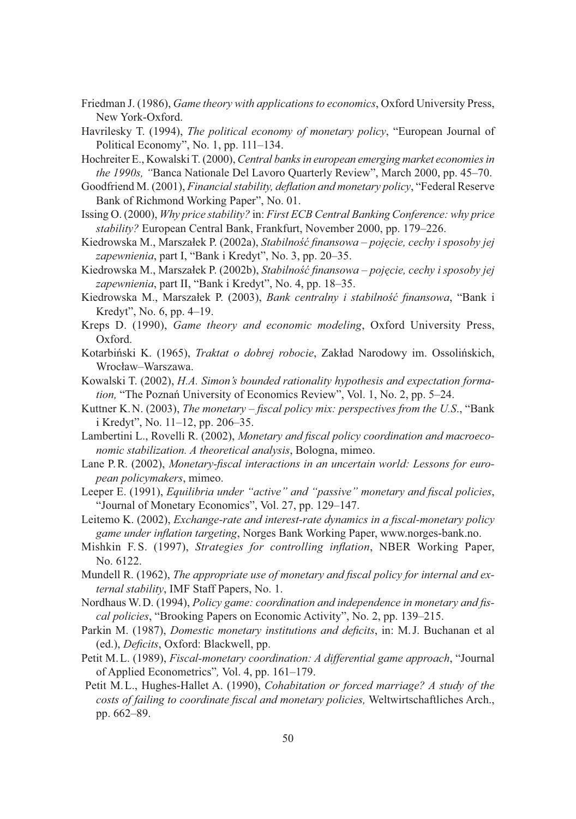- Friedman J. (1986), *Game theory with applications to economics*, Oxford University Press, New York-Oxford.
- Havrilesky T. (1994), *The political economy of monetary policy*, "European Journal of Political Economy", No. 1, pp. 111–134.
- Hochreiter E., Kowalski T. (2000), *Central banks in european emerging market economies in the 1990s, "*Banca Nationale Del Lavoro Quarterly Review", March 2000, pp. 45–70.
- Goodfriend M. (2001), *Financial stability, defl ation and monetary policy*, "Federal Reserve Bank of Richmond Working Paper", No. 01.
- Issing O. (2000), *Why price stability?* in: *First ECB Central Banking Conference: why price stability?* European Central Bank, Frankfurt, November 2000, pp. 179–226.
- Kiedrowska M., Marszałek P. (2002a), *Stabilność finansowa pojęcie, cechy i sposoby jej zapewnienia*, part I, "Bank i Kredyt", No. 3, pp. 20–35.
- Kiedrowska M., Marszałek P. (2002b), *Stabilność finansowa pojęcie, cechy i sposoby jej zapewnienia*, part II, "Bank i Kredyt", No. 4, pp. 18–35.
- Kiedrowska M., Marszałek P. (2003), *Bank centralny i stabilność finansowa*, "Bank i Kredyt", No. 6, pp. 4–19.
- Kreps D. (1990), *Game theory and economic modeling*, Oxford University Press, Oxford.
- Kotarbiński K. (1965), *Traktat o dobrej robocie*, Zakład Narodowy im. Ossolińskich, Wrocław–Warszawa.
- Kowalski T. (2002), *H.A. Simon's bounded rationality hypothesis and expectation formation,* "The Poznań University of Economics Review", Vol. 1, No. 2, pp. 5–24.
- Kuttner K. N. (2003), *The monetary fiscal policy mix: perspectives from the U.S.*, "Bank i Kredyt", No. 11–12, pp. 206–35.
- Lambertini L., Rovelli R. (2002), *Monetary and fiscal policy coordination and macroeconomic stabilization. A theoretical analysis*, Bologna, mimeo.
- Lane P.R. (2002), *Monetary-fiscal interactions in an uncertain world: Lessons for european policymakers*, mimeo.
- Leeper E. (1991), *Equilibria under "active" and "passive" monetary and fiscal policies*, "Journal of Monetary Economics", Vol. 27, pp. 129–147.
- Leitemo K. (2002), *Exchange-rate and interest-rate dynamics in a fiscal-monetary policy game under infl ation targeting*, Norges Bank Working Paper, www.norges-bank.no.
- Mishkin F.S. (1997), *Strategies for controlling inflation*, NBER Working Paper, No. 6122.
- Mundell R. (1962), *The appropriate use of monetary and fiscal policy for internal and external stability*, IMF Staff Papers, No. 1.
- Nordhaus W.D. (1994), *Policy game: coordination and independence in monetary and fiscal policies*, "Brooking Papers on Economic Activity", No. 2, pp. 139–215.
- Parkin M. (1987), *Domestic monetary institutions and deficits*, in: M.J. Buchanan et al (ed.), *Deficits*, Oxford: Blackwell, pp.
- Petit M. L. (1989), *Fiscal-monetary coordination: A differential game approach*, "Journal of Applied Econometrics"*,* Vol. 4, pp. 161–179.
- Petit M. L., Hughes-Hallet A. (1990), *Cohabitation or forced marriage? A study of the*  costs of failing to coordinate fiscal and monetary policies, Weltwirtschaftliches Arch., pp. 662–89.